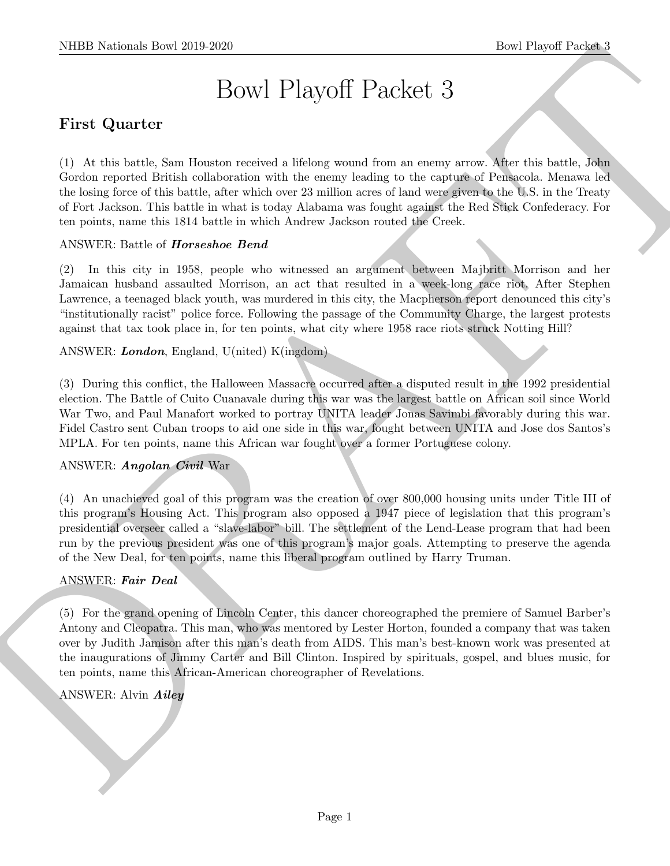# Bowl Playoff Packet 3

# First Quarter

(1) At this battle, Sam Houston received a lifelong wound from an enemy arrow. After this battle, John Gordon reported British collaboration with the enemy leading to the capture of Pensacola. Menawa led the losing force of this battle, after which over 23 million acres of land were given to the U.S. in the Treaty of Fort Jackson. This battle in what is today Alabama was fought against the Red Stick Confederacy. For ten points, name this 1814 battle in which Andrew Jackson routed the Creek.

# ANSWER: Battle of Horseshoe Bend

SIIDE Notionals how 20:0 2250<br>
<br>
Bowl Playoff Parcelet 3<br>
Deset Posset Posset Posset<br>
This Quarter<br>
(1) A developed a distance consistent with the most section of the state of the state of the basebor and<br>
Could reported (2) In this city in 1958, people who witnessed an argument between Majbritt Morrison and her Jamaican husband assaulted Morrison, an act that resulted in a week-long race riot. After Stephen Lawrence, a teenaged black youth, was murdered in this city, the Macpherson report denounced this city's "institutionally racist" police force. Following the passage of the Community Charge, the largest protests against that tax took place in, for ten points, what city where 1958 race riots struck Notting Hill?

ANSWER: London, England, U(nited) K(ingdom)

(3) During this conflict, the Halloween Massacre occurred after a disputed result in the 1992 presidential election. The Battle of Cuito Cuanavale during this war was the largest battle on African soil since World War Two, and Paul Manafort worked to portray UNITA leader Jonas Savimbi favorably during this war. Fidel Castro sent Cuban troops to aid one side in this war, fought between UNITA and Jose dos Santos's MPLA. For ten points, name this African war fought over a former Portuguese colony.

# ANSWER: Angolan Civil War

(4) An unachieved goal of this program was the creation of over 800,000 housing units under Title III of this program's Housing Act. This program also opposed a 1947 piece of legislation that this program's presidential overseer called a "slave-labor" bill. The settlement of the Lend-Lease program that had been run by the previous president was one of this program's major goals. Attempting to preserve the agenda of the New Deal, for ten points, name this liberal program outlined by Harry Truman.

#### ANSWER: Fair Deal

(5) For the grand opening of Lincoln Center, this dancer choreographed the premiere of Samuel Barber's Antony and Cleopatra. This man, who was mentored by Lester Horton, founded a company that was taken over by Judith Jamison after this man's death from AIDS. This man's best-known work was presented at the inaugurations of Jimmy Carter and Bill Clinton. Inspired by spirituals, gospel, and blues music, for ten points, name this African-American choreographer of Revelations.

# ANSWER: Alvin *Ailey*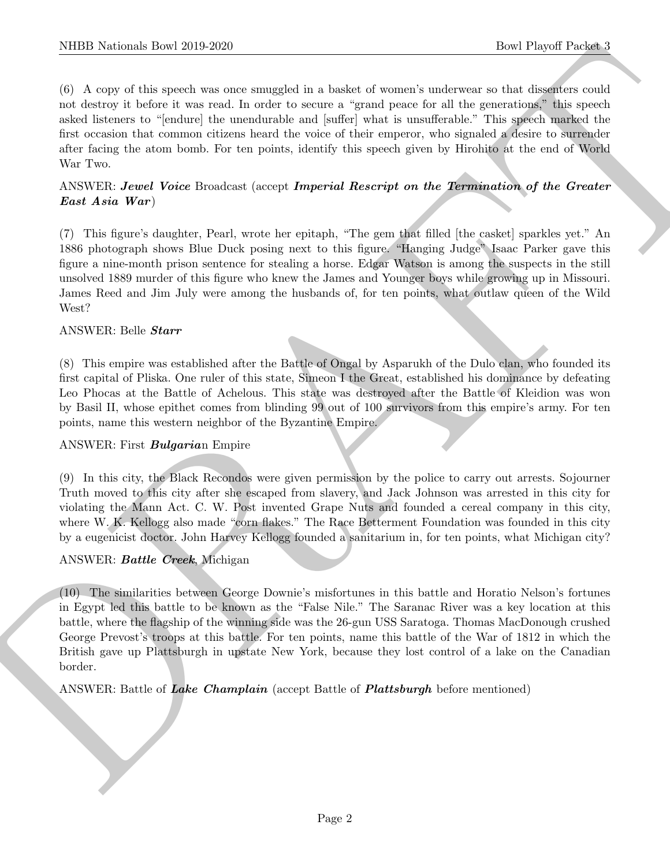(6) A copy of this speech was once smuggled in a basket of women's underwear so that dissenters could not destroy it before it was read. In order to secure a "grand peace for all the generations," this speech asked listeners to "[endure] the unendurable and [suffer] what is unsufferable." This speech marked the first occasion that common citizens heard the voice of their emperor, who signaled a desire to surrender after facing the atom bomb. For ten points, identify this speech given by Hirohito at the end of World War Two.

## ANSWER: Jewel Voice Broadcast (accept Imperial Rescript on the Termination of the Greater East Asia War)

(7) This figure's daughter, Pearl, wrote her epitaph, "The gem that filled [the casket] sparkles yet." An 1886 photograph shows Blue Duck posing next to this figure. "Hanging Judge" Isaac Parker gave this figure a nine-month prison sentence for stealing a horse. Edgar Watson is among the suspects in the still unsolved 1889 murder of this figure who knew the James and Younger boys while growing up in Missouri. James Reed and Jim July were among the husbands of, for ten points, what outlaw queen of the Wild West?

#### ANSWER: Belle Starr

(8) This empire was established after the Battle of Ongal by Asparukh of the Dulo clan, who founded its first capital of Pliska. One ruler of this state, Simeon I the Great, established his dominance by defeating Leo Phocas at the Battle of Achelous. This state was destroyed after the Battle of Kleidion was won by Basil II, whose epithet comes from blinding 99 out of 100 survivors from this empire's army. For ten points, name this western neighbor of the Byzantine Empire.

#### ANSWER: First Bulgarian Empire

(9) In this city, the Black Recondos were given permission by the police to carry out arrests. Sojourner Truth moved to this city after she escaped from slavery, and Jack Johnson was arrested in this city for violating the Mann Act. C. W. Post invented Grape Nuts and founded a cereal company in this city, where W. K. Kellogg also made "corn flakes." The Race Betterment Foundation was founded in this city by a eugenicist doctor. John Harvey Kellogg founded a sanitarium in, for ten points, what Michigan city?

#### ANSWER: Battle Creek, Michigan

NIBB Noticeals how 2019-2020<br>
(b) A cone of the section of same same simulation is radiot of woman's candered to the National Matter of the section of the section of the section of the section of the section of the sectio (10) The similarities between George Downie's misfortunes in this battle and Horatio Nelson's fortunes in Egypt led this battle to be known as the "False Nile." The Saranac River was a key location at this battle, where the flagship of the winning side was the 26-gun USS Saratoga. Thomas MacDonough crushed George Prevost's troops at this battle. For ten points, name this battle of the War of 1812 in which the British gave up Plattsburgh in upstate New York, because they lost control of a lake on the Canadian border.

ANSWER: Battle of Lake Champlain (accept Battle of Plattsburgh before mentioned)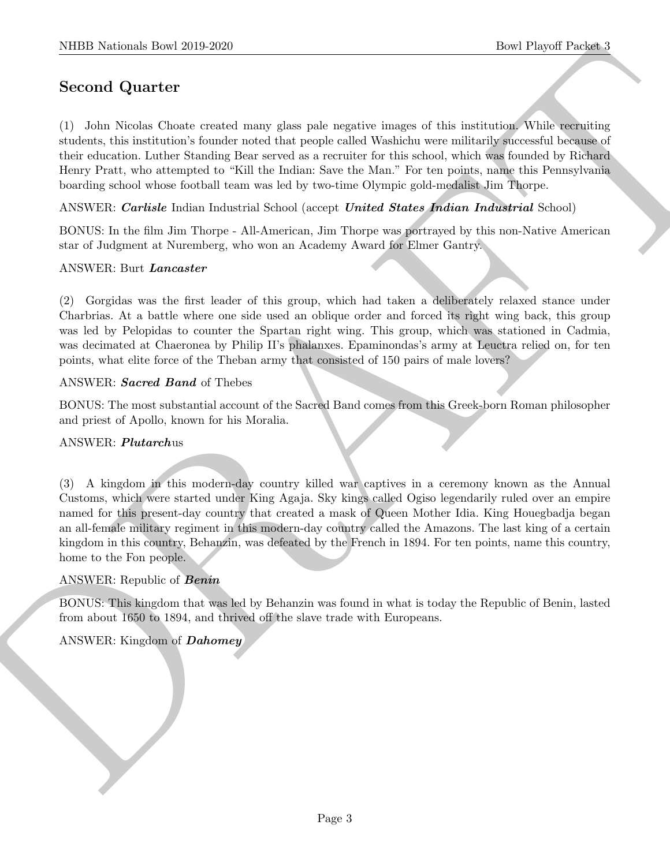# Second Quarter

(1) John Nicolas Choate created many glass pale negative images of this institution. While recruiting students, this institution's founder noted that people called Washichu were militarily successful because of their education. Luther Standing Bear served as a recruiter for this school, which was founded by Richard Henry Pratt, who attempted to "Kill the Indian: Save the Man." For ten points, name this Pennsylvania boarding school whose football team was led by two-time Olympic gold-medalist Jim Thorpe.

ANSWER: Carlisle Indian Industrial School (accept United States Indian Industrial School)

BONUS: In the film Jim Thorpe - All-American, Jim Thorpe was portrayed by this non-Native American star of Judgment at Nuremberg, who won an Academy Award for Elmer Gantry.

#### ANSWER: Burt Lancaster

(2) Gorgidas was the first leader of this group, which had taken a deliberately relaxed stance under Charbrias. At a battle where one side used an oblique order and forced its right wing back, this group was led by Pelopidas to counter the Spartan right wing. This group, which was stationed in Cadmia, was decimated at Chaeronea by Philip II's phalanxes. Epaminondas's army at Leuctra relied on, for ten points, what elite force of the Theban army that consisted of 150 pairs of male lovers?

#### ANSWER: Sacred Band of Thebes

BONUS: The most substantial account of the Sacred Band comes from this Greek-born Roman philosopher and priest of Apollo, known for his Moralia.

#### ANSWER: Plutarchus

SIBD Notionals how 2019-2020<br>
Second Quart of<br>
Second Quart of<br>
Second Quart of<br>
Second Quart of<br>
Second Quart of<br>
Consider a case of our selection is followed and proper called Walled were without were also words here an (3) A kingdom in this modern-day country killed war captives in a ceremony known as the Annual Customs, which were started under King Agaja. Sky kings called Ogiso legendarily ruled over an empire named for this present-day country that created a mask of Queen Mother Idia. King Houegbadja began an all-female military regiment in this modern-day country called the Amazons. The last king of a certain kingdom in this country, Behanzin, was defeated by the French in 1894. For ten points, name this country, home to the Fon people.

#### ANSWER: Republic of **Benin**

BONUS: This kingdom that was led by Behanzin was found in what is today the Republic of Benin, lasted from about 1650 to 1894, and thrived off the slave trade with Europeans.

ANSWER: Kingdom of Dahomey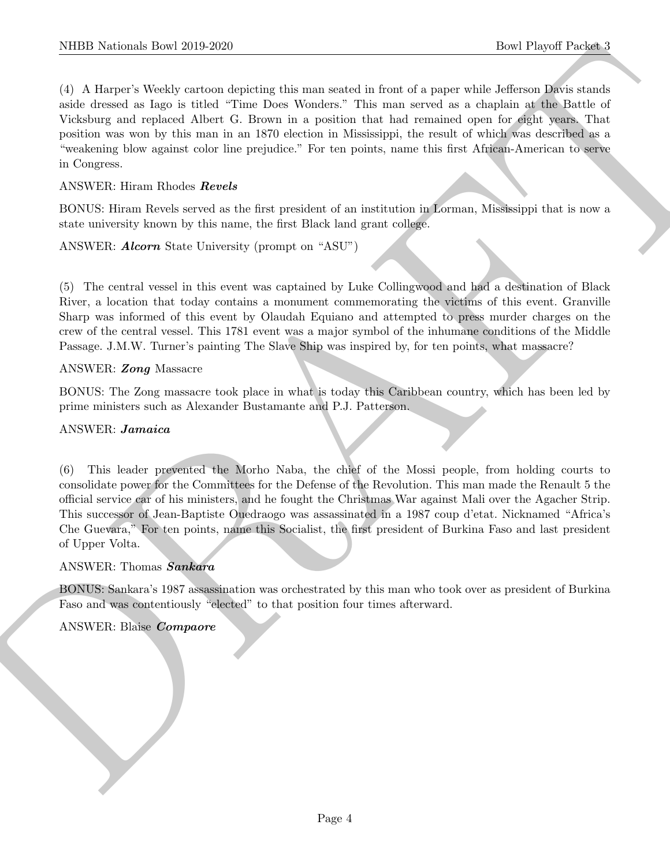NIBB Noticeals how 20:0 2250<br>
(i.e. A Baccac's Wedeby canceled containe this and world in instead of a polynomial Possible and the state of<br>
(i.e. A Baccac's which contains the First David Worlds," The max are<br>not as a de (4) A Harper's Weekly cartoon depicting this man seated in front of a paper while Jefferson Davis stands aside dressed as Iago is titled "Time Does Wonders." This man served as a chaplain at the Battle of Vicksburg and replaced Albert G. Brown in a position that had remained open for eight years. That position was won by this man in an 1870 election in Mississippi, the result of which was described as a "weakening blow against color line prejudice." For ten points, name this first African-American to serve in Congress.

#### ANSWER: Hiram Rhodes Revels

BONUS: Hiram Revels served as the first president of an institution in Lorman, Mississippi that is now a state university known by this name, the first Black land grant college.

ANSWER: Alcorn State University (prompt on "ASU")

(5) The central vessel in this event was captained by Luke Collingwood and had a destination of Black River, a location that today contains a monument commemorating the victims of this event. Granville Sharp was informed of this event by Olaudah Equiano and attempted to press murder charges on the crew of the central vessel. This 1781 event was a major symbol of the inhumane conditions of the Middle Passage. J.M.W. Turner's painting The Slave Ship was inspired by, for ten points, what massacre?

#### ANSWER: Zong Massacre

BONUS: The Zong massacre took place in what is today this Caribbean country, which has been led by prime ministers such as Alexander Bustamante and P.J. Patterson.

#### ANSWER: Jamaica

(6) This leader prevented the Morho Naba, the chief of the Mossi people, from holding courts to consolidate power for the Committees for the Defense of the Revolution. This man made the Renault 5 the official service car of his ministers, and he fought the Christmas War against Mali over the Agacher Strip. This successor of Jean-Baptiste Ouedraogo was assassinated in a 1987 coup d'etat. Nicknamed "Africa's Che Guevara," For ten points, name this Socialist, the first president of Burkina Faso and last president of Upper Volta.

#### ANSWER: Thomas Sankara

BONUS: Sankara's 1987 assassination was orchestrated by this man who took over as president of Burkina Faso and was contentiously "elected" to that position four times afterward.

#### ANSWER: Blaise Compaore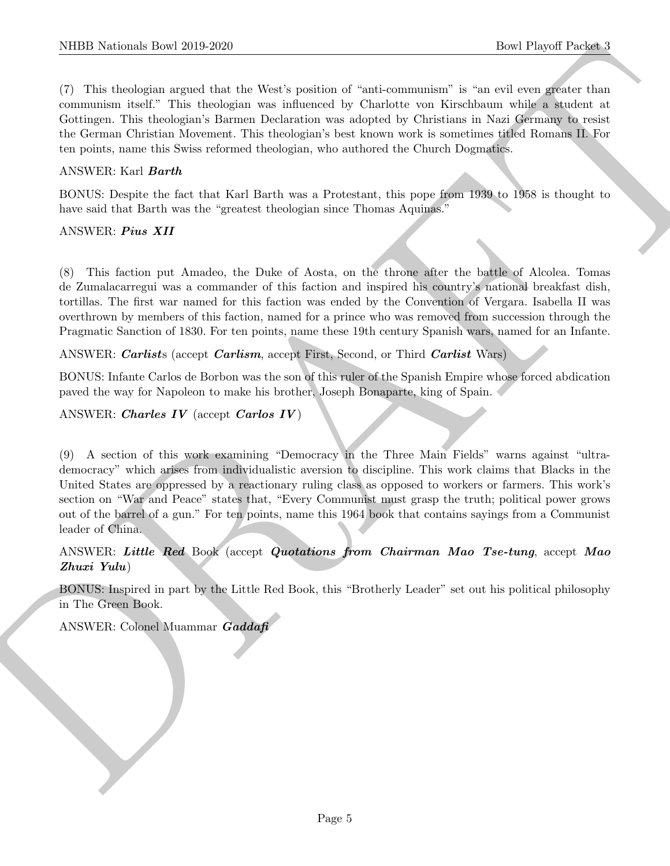(7) This theologian argued that the West's position of "anti-communism" is "an evil even greater than communism itself." This theologian was influenced by Charlotte von Kirschbaum while a student at Gottingen. This theologian's Barmen Declaration was adopted by Christians in Nazi Germany to resist the German Christian Movement. This theologian's best known work is sometimes titled Romans II. For ten points, name this Swiss reformed theologian, who authored the Church Dogmatics.

#### ANSWER: Karl Barth

BONUS: Despite the fact that Karl Barth was a Protestant, this pope from 1939 to 1958 is thought to have said that Barth was the "greatest theologian since Thomas Aquinas."

#### ANSWER: Pius XII

(8) This faction put Amadeo, the Duke of Aosta, on the throne after the battle of Alcolea. Tomas de Zumalacarregui was a commander of this faction and inspired his country's national breakfast dish, tortillas. The first war named for this faction was ended by the Convention of Vergara. Isabella II was overthrown by members of this faction, named for a prince who was removed from succession through the Pragmatic Sanction of 1830. For ten points, name these 19th century Spanish wars, named for an Infante.

ANSWER: Carlists (accept Carlism, accept First, Second, or Third Carlist Wars)

BONUS: Infante Carlos de Borbon was the son of this ruler of the Spanish Empire whose forced abdication paved the way for Napoleon to make his brother, Joseph Bonaparte, king of Spain.

#### ANSWER: Charles IV (accept Carlos IV)

NIBB Noticeals how 2019-2020<br>
The Playeri Poses 1<br>
The Roberts and the West's position of "sub-someonic field" between the state of the state of the state of the state<br>
considers. This choosing the main theoretic by Chalo (9) A section of this work examining "Democracy in the Three Main Fields" warns against "ultrademocracy" which arises from individualistic aversion to discipline. This work claims that Blacks in the United States are oppressed by a reactionary ruling class as opposed to workers or farmers. This work's section on "War and Peace" states that, "Every Communist must grasp the truth; political power grows out of the barrel of a gun." For ten points, name this 1964 book that contains sayings from a Communist leader of China.

#### ANSWER: Little Red Book (accept Quotations from Chairman Mao Tse-tung, accept Mao Zhuxi Yulu)

BONUS: Inspired in part by the Little Red Book, this "Brotherly Leader" set out his political philosophy in The Green Book.

#### ANSWER: Colonel Muammar Gaddafi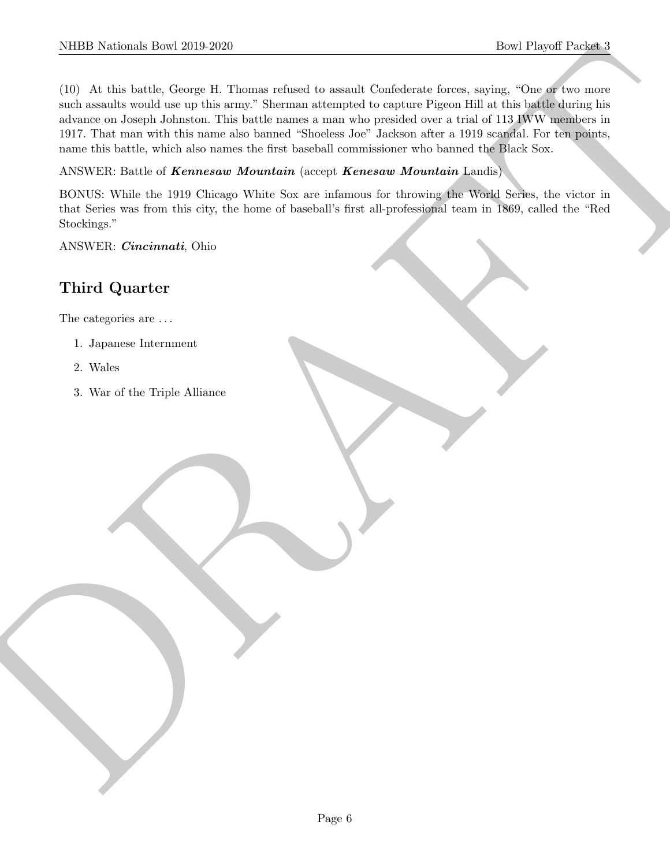SIIDE Notionals them 2019 2200<br>
The Playeri Posset is consistent to a small Contained the second Consistent with the second term profile are priority the second term profile are provided to a small contained to compare Bi (10) At this battle, George H. Thomas refused to assault Confederate forces, saying, "One or two more such assaults would use up this army." Sherman attempted to capture Pigeon Hill at this battle during his advance on Joseph Johnston. This battle names a man who presided over a trial of 113 IWW members in 1917. That man with this name also banned "Shoeless Joe" Jackson after a 1919 scandal. For ten points, name this battle, which also names the first baseball commissioner who banned the Black Sox.

## ANSWER: Battle of **Kennesaw Mountain** (accept **Kenesaw Mountain** Landis)

BONUS: While the 1919 Chicago White Sox are infamous for throwing the World Series, the victor in that Series was from this city, the home of baseball's first all-professional team in 1869, called the "Red Stockings."

#### ANSWER: Cincinnati, Ohio

# Third Quarter

The categories are ...

- 1. Japanese Internment
- 2. Wales
- 3. War of the Triple Alliance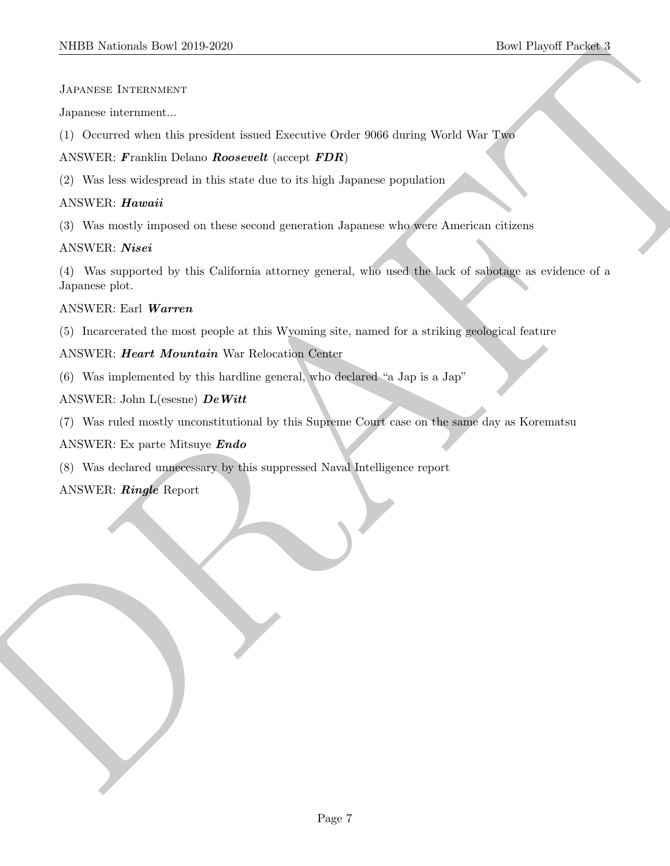#### Japanese Internment

Japanese internment...

(1) Occurred when this president issued Executive Order 9066 during World War Two

ANSWER: Franklin Delano Roosevelt (accept FDR)

(2) Was less widespread in this state due to its high Japanese population

# ANSWER: Hawaii

(3) Was mostly imposed on these second generation Japanese who were American citizens

# ANSWER: Nisei

SIDD Notional: Deal 2019-2020<br>
Load Propert Cassinal<br>
Jackwater interpretations .<br>
Approximation in problem issued Incomentation Order 5006 during World War Tax<br>
ANNEW Properties that the results are the second processive (4) Was supported by this California attorney general, who used the lack of sabotage as evidence of a Japanese plot.

#### ANSWER: Earl Warren

(5) Incarcerated the most people at this Wyoming site, named for a striking geological feature

# ANSWER: Heart Mountain War Relocation Center

(6) Was implemented by this hardline general, who declared "a Jap is a Jap"

# ANSWER: John L(esesne) DeWitt

(7) Was ruled mostly unconstitutional by this Supreme Court case on the same day as Korematsu

ANSWER: Ex parte Mitsuye Endo

(8) Was declared unnecessary by this suppressed Naval Intelligence report

# ANSWER: Ringle Report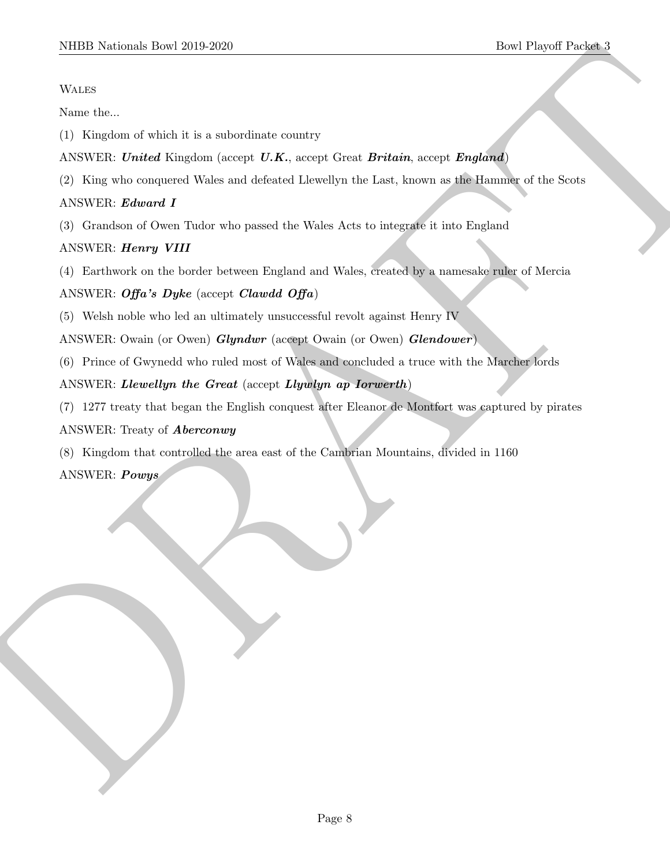#### **WALES**

Name the...

- (1) Kingdom of which it is a subordinate country
- ANSWER: United Kingdom (accept  $U.K.,$  accept Great Britain, accept England)
- (2) King who conquered Wales and defeated Llewellyn the Last, known as the Hammer of the Scots

## ANSWER: Edward I

(3) Grandson of Owen Tudor who passed the Wales Acts to integrate it into England

#### ANSWER: Henry VIII

(4) Earthwork on the border between England and Wales, created by a namesake ruler of Mercia

# ANSWER: Offa's Dyke (accept Clawdd Offa)

(5) Welsh noble who led an ultimately unsuccessful revolt against Henry IV

ANSWER: Owain (or Owen) Glyndwr (accept Owain (or Owen) Glendower)

(6) Prince of Gwynedd who ruled most of Wales and concluded a truce with the Marcher lords

# ANSWER: Llewellyn the Great (accept Llywlyn ap Iorwerth)

- NIBER Notices in Level 2019-2020<br>
Note Player in which is it is a subscribence constant<br>
Note that Notes is a subscribence constant ( $D$ , account is a subscribence constant)<br>
A SWER: University ( $D$ ) and the subscribence (7) 1277 treaty that began the English conquest after Eleanor de Montfort was captured by pirates ANSWER: Treaty of **Aberconwy** 
	- (8) Kingdom that controlled the area east of the Cambrian Mountains, divided in 1160

ANSWER: Powys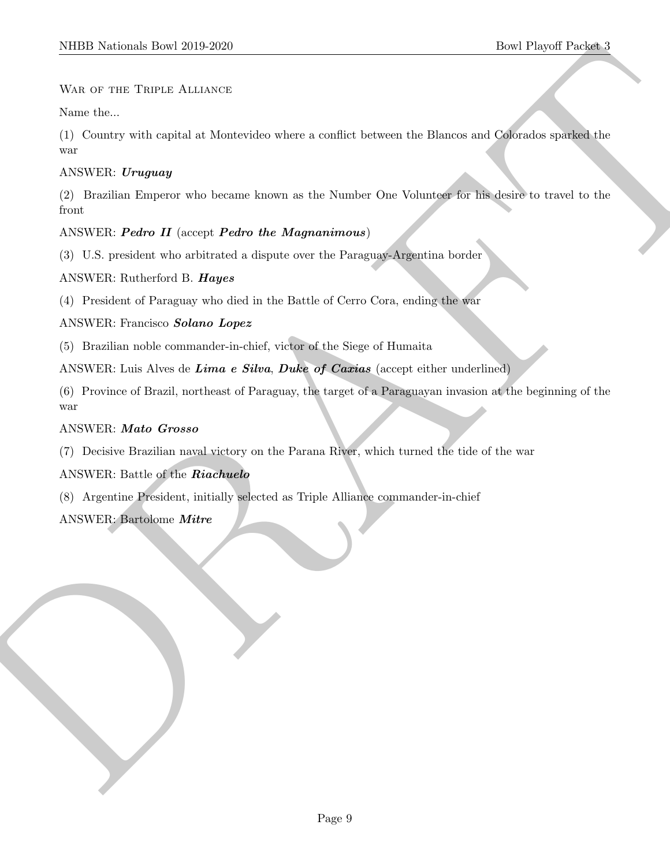War of the Triple Alliance

Name the...

(1) Country with capital at Montevideo where a conflict between the Blancos and Colorados sparked the war

## ANSWER: Uruguay

(2) Brazilian Emperor who became known as the Number One Volunteer for his desire to travel to the front

# ANSWER: Pedro II (accept Pedro the Magnanimous)

(3) U.S. president who arbitrated a dispute over the Paraguay-Argentina border

# ANSWER: Rutherford B. Hayes

(4) President of Paraguay who died in the Battle of Cerro Cora, ending the war

# ANSWER: Francisco Solano Lopez

(5) Brazilian noble commander-in-chief, victor of the Siege of Humaita

ANSWER: Luis Alves de Lima e Silva, Duke of Caxias (accept either underlined)

SIIDD Notional: Download a Littlewide School and the second of the Player Player of the School of the Same the State of the Same of the State of the State of the SWER Department of the ACT with the SWER Department of the (6) Province of Brazil, northeast of Paraguay, the target of a Paraguayan invasion at the beginning of the war

# ANSWER: Mato Grosso

(7) Decisive Brazilian naval victory on the Parana River, which turned the tide of the war

ANSWER: Battle of the Riachuelo

(8) Argentine President, initially selected as Triple Alliance commander-in-chief

# ANSWER: Bartolome Mitre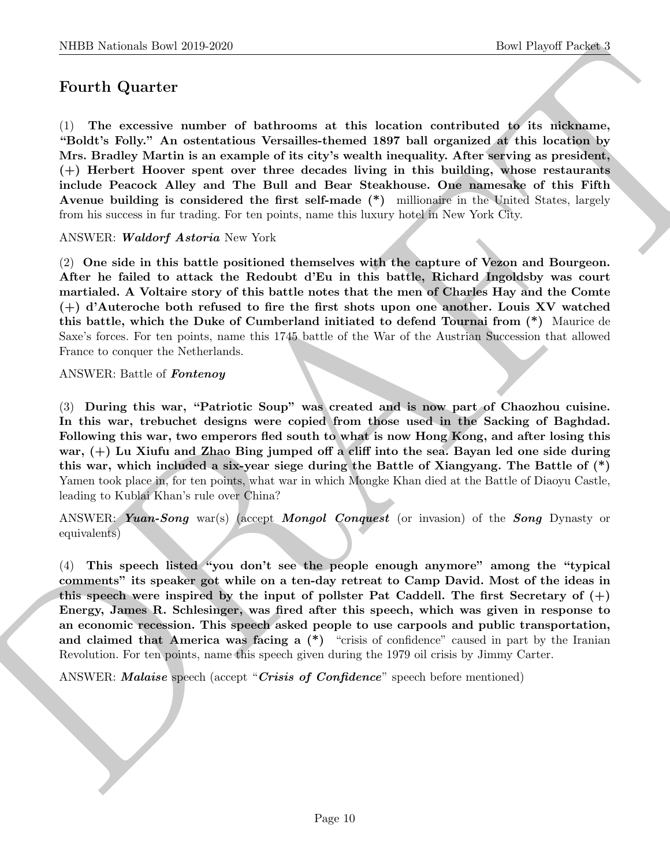# Fourth Quarter

(1) The excessive number of bathrooms at this location contributed to its nickname, "Boldt's Folly." An ostentatious Versailles-themed 1897 ball organized at this location by Mrs. Bradley Martin is an example of its city's wealth inequality. After serving as president, (+) Herbert Hoover spent over three decades living in this building, whose restaurants include Peacock Alley and The Bull and Bear Steakhouse. One namesake of this Fifth Avenue building is considered the first self-made (\*) millionaire in the United States, largely from his success in fur trading. For ten points, name this luxury hotel in New York City.

ANSWER: Waldorf Astoria New York

(2) One side in this battle positioned themselves with the capture of Vezon and Bourgeon. After he failed to attack the Redoubt d'Eu in this battle, Richard Ingoldsby was court martialed. A Voltaire story of this battle notes that the men of Charles Hay and the Comte (+) d'Auteroche both refused to fire the first shots upon one another. Louis XV watched this battle, which the Duke of Cumberland initiated to defend Tournai from (\*) Maurice de Saxe's forces. For ten points, name this 1745 battle of the War of the Austrian Succession that allowed France to conquer the Netherlands.

#### ANSWER: Battle of Fontenoy

(3) During this war, "Patriotic Soup" was created and is now part of Chaozhou cuisine. In this war, trebuchet designs were copied from those used in the Sacking of Baghdad. Following this war, two emperors fled south to what is now Hong Kong, and after losing this war,  $(+)$  Lu Xiufu and Zhao Bing jumped off a cliff into the sea. Bayan led one side during this war, which included a six-year siege during the Battle of Xiangyang. The Battle of (\*) Yamen took place in, for ten points, what war in which Mongke Khan died at the Battle of Diaoyu Castle, leading to Kublai Khan's rule over China?

ANSWER: Yuan-Song war(s) (accept Mongol Conquest (or invasion) of the Song Dynasty or equivalents)

NIBB Noticeals how 20:0 2630<br>
Devel Poyent Develop 1<br>
Devel Poyent Develop 1<br>
To unit Quart correspondent to the transmission of the type and that is developed at this host<br>form by SMA and the two contributions at this lo (4) This speech listed "you don't see the people enough anymore" among the "typical comments" its speaker got while on a ten-day retreat to Camp David. Most of the ideas in this speech were inspired by the input of pollster Pat Caddell. The first Secretary of  $(+)$ Energy, James R. Schlesinger, was fired after this speech, which was given in response to an economic recession. This speech asked people to use carpools and public transportation, and claimed that America was facing a  $(*)$  "crisis of confidence" caused in part by the Iranian Revolution. For ten points, name this speech given during the 1979 oil crisis by Jimmy Carter.

ANSWER: *Malaise* speech (accept "*Crisis of Confidence*" speech before mentioned)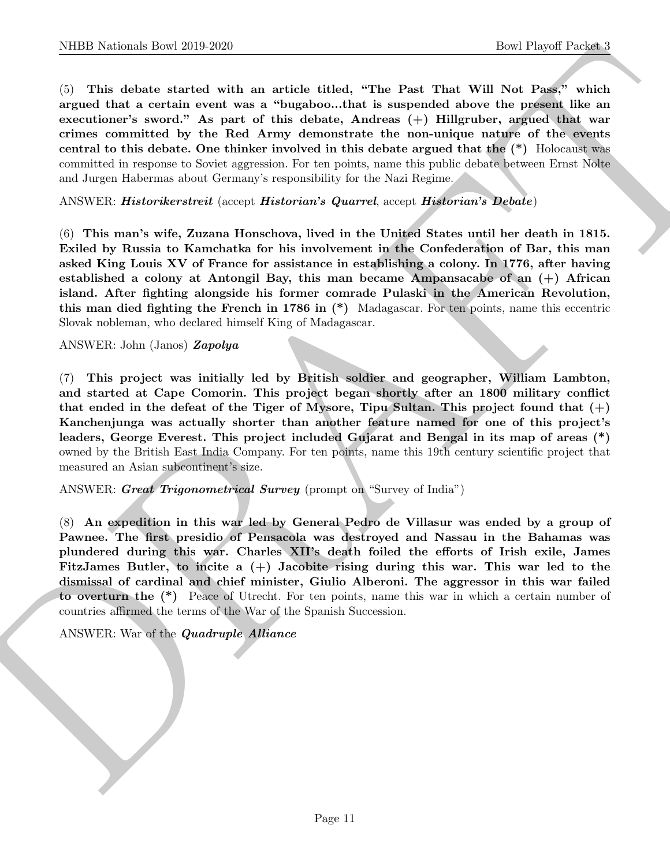NIBB Noticeals how 2019 2620<br>
(See Playeri Description and Section 1988). Best Playeri Description and Section 1988)<br>
(C) This debtte stated with a method of the part of this debtte, Andreas (4) Hillstown, as present like (5) This debate started with an article titled, "The Past That Will Not Pass," which argued that a certain event was a "bugaboo...that is suspended above the present like an executioner's sword." As part of this debate, Andreas (+) Hillgruber, argued that war crimes committed by the Red Army demonstrate the non-unique nature of the events central to this debate. One thinker involved in this debate argued that the (\*) Holocaust was committed in response to Soviet aggression. For ten points, name this public debate between Ernst Nolte and Jurgen Habermas about Germany's responsibility for the Nazi Regime.

ANSWER: Historikerstreit (accept Historian's Quarrel, accept Historian's Debate)

(6) This man's wife, Zuzana Honschova, lived in the United States until her death in 1815. Exiled by Russia to Kamchatka for his involvement in the Confederation of Bar, this man asked King Louis XV of France for assistance in establishing a colony. In 1776, after having established a colony at Antongil Bay, this man became Ampansacabe of an  $(+)$  African island. After fighting alongside his former comrade Pulaski in the American Revolution, this man died fighting the French in 1786 in  $(*)$  Madagascar. For ten points, name this eccentric Slovak nobleman, who declared himself King of Madagascar.

ANSWER: John (Janos) Zapolya

(7) This project was initially led by British soldier and geographer, William Lambton, and started at Cape Comorin. This project began shortly after an 1800 military conflict that ended in the defeat of the Tiger of Mysore, Tipu Sultan. This project found that  $(+)$ Kanchenjunga was actually shorter than another feature named for one of this project's leaders, George Everest. This project included Gujarat and Bengal in its map of areas (\*) owned by the British East India Company. For ten points, name this 19th century scientific project that measured an Asian subcontinent's size.

ANSWER: Great Trigonometrical Survey (prompt on "Survey of India")

(8) An expedition in this war led by General Pedro de Villasur was ended by a group of Pawnee. The first presidio of Pensacola was destroyed and Nassau in the Bahamas was plundered during this war. Charles XII's death foiled the efforts of Irish exile, James FitzJames Butler, to incite a  $(+)$  Jacobite rising during this war. This war led to the dismissal of cardinal and chief minister, Giulio Alberoni. The aggressor in this war failed to overturn the (\*) Peace of Utrecht. For ten points, name this war in which a certain number of countries affirmed the terms of the War of the Spanish Succession.

ANSWER: War of the Quadruple Alliance